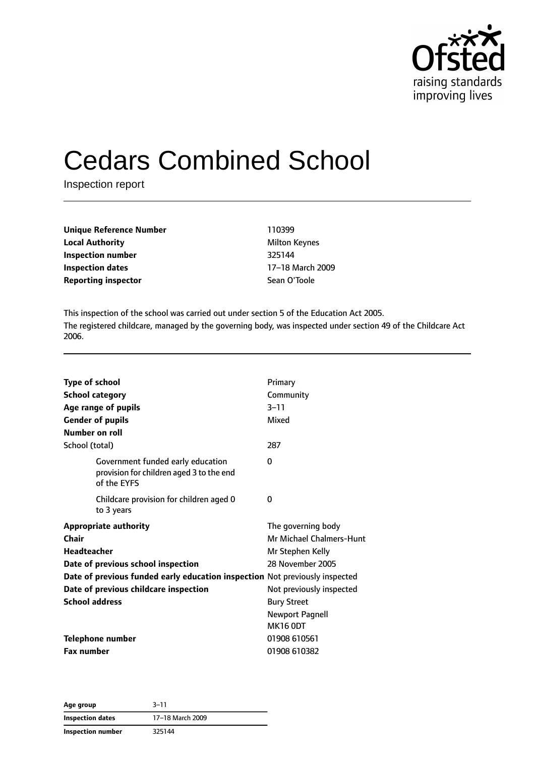

# Cedars Combined School

Inspection report

| Unique Reference Number    | 110399               |
|----------------------------|----------------------|
| Local Authority            | <b>Milton Keynes</b> |
| Inspection number          | 325144               |
| Inspection dates           | 17-18 March 2009     |
| <b>Reporting inspector</b> | Sean O'Toole         |
|                            |                      |

This inspection of the school was carried out under section 5 of the Education Act 2005. The registered childcare, managed by the governing body, was inspected under section 49 of the Childcare Act 2006.

| <b>Type of school</b><br><b>School category</b><br>Age range of pupils<br><b>Gender of pupils</b><br>Number on roll | Primary<br>Community<br>$3 - 11$<br>Mixed      |
|---------------------------------------------------------------------------------------------------------------------|------------------------------------------------|
| School (total)<br>Government funded early education<br>provision for children aged 3 to the end                     | 287<br>0                                       |
| of the EYFS<br>Childcare provision for children aged 0                                                              | 0                                              |
| to 3 years<br><b>Appropriate authority</b>                                                                          | The governing body                             |
| Chair<br><b>Headteacher</b>                                                                                         | Mr Michael Chalmers-Hunt<br>Mr Stephen Kelly   |
| Date of previous school inspection<br>Date of previous funded early education inspection Not previously inspected   | 28 November 2005                               |
| Date of previous childcare inspection<br><b>School address</b>                                                      | Not previously inspected<br><b>Bury Street</b> |
|                                                                                                                     | <b>Newport Pagnell</b><br><b>MK16 0DT</b>      |
| <b>Telephone number</b>                                                                                             | 01908 610561                                   |
| <b>Fax number</b>                                                                                                   | 01908 610382                                   |

**Age group** 3–11 **Inspection dates** 17–18 March 2009 **Inspection number** 325144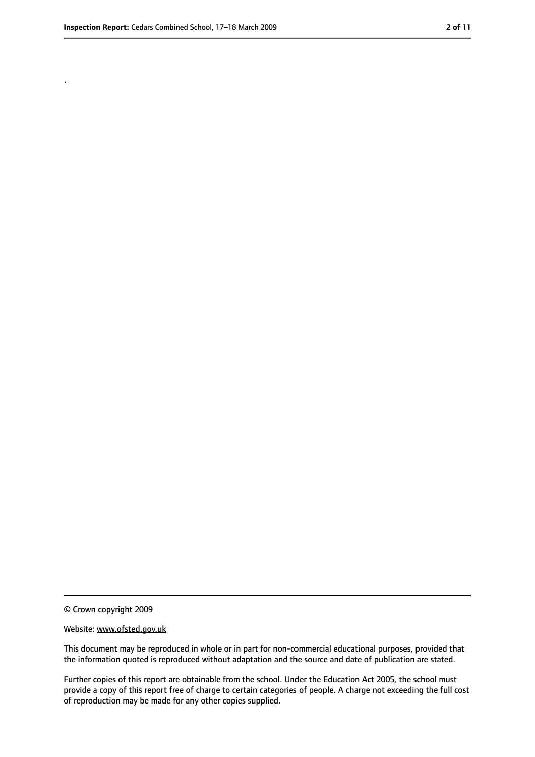.

<sup>©</sup> Crown copyright 2009

Website: www.ofsted.gov.uk

This document may be reproduced in whole or in part for non-commercial educational purposes, provided that the information quoted is reproduced without adaptation and the source and date of publication are stated.

Further copies of this report are obtainable from the school. Under the Education Act 2005, the school must provide a copy of this report free of charge to certain categories of people. A charge not exceeding the full cost of reproduction may be made for any other copies supplied.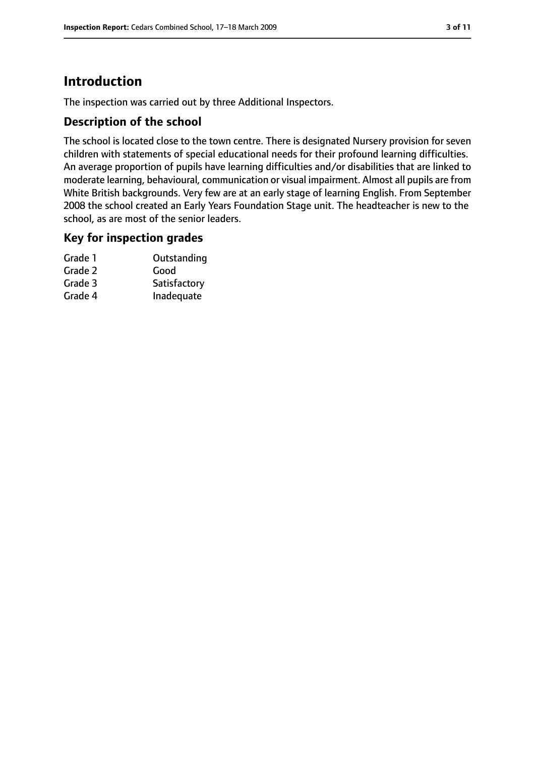# **Introduction**

The inspection was carried out by three Additional Inspectors.

#### **Description of the school**

The school is located close to the town centre. There is designated Nursery provision for seven children with statements of special educational needs for their profound learning difficulties. An average proportion of pupils have learning difficulties and/or disabilities that are linked to moderate learning, behavioural, communication or visual impairment. Almost all pupils are from White British backgrounds. Very few are at an early stage of learning English. From September 2008 the school created an Early Years Foundation Stage unit. The headteacher is new to the school, as are most of the senior leaders.

# **Key for inspection grades**

| Grade 1 | Outstanding  |
|---------|--------------|
| Grade 2 | Good         |
| Grade 3 | Satisfactory |
| Grade 4 | Inadequate   |
|         |              |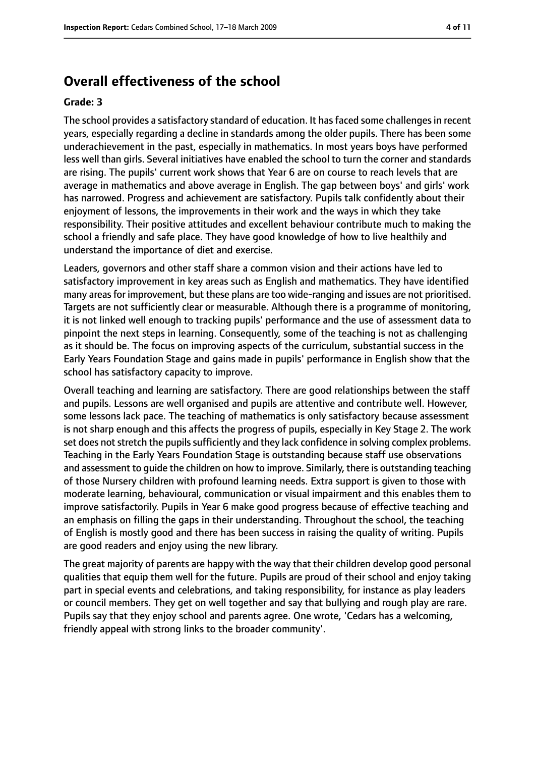# **Overall effectiveness of the school**

#### **Grade: 3**

The school provides a satisfactory standard of education. It has faced some challenges in recent years, especially regarding a decline in standards among the older pupils. There has been some underachievement in the past, especially in mathematics. In most years boys have performed less well than girls. Several initiatives have enabled the school to turn the corner and standards are rising. The pupils' current work shows that Year 6 are on course to reach levels that are average in mathematics and above average in English. The gap between boys' and girls' work has narrowed. Progress and achievement are satisfactory. Pupils talk confidently about their enjoyment of lessons, the improvements in their work and the ways in which they take responsibility. Their positive attitudes and excellent behaviour contribute much to making the school a friendly and safe place. They have good knowledge of how to live healthily and understand the importance of diet and exercise.

Leaders, governors and other staff share a common vision and their actions have led to satisfactory improvement in key areas such as English and mathematics. They have identified many areasfor improvement, but these plans are too wide-ranging and issues are not prioritised. Targets are not sufficiently clear or measurable. Although there is a programme of monitoring, it is not linked well enough to tracking pupils' performance and the use of assessment data to pinpoint the next steps in learning. Consequently, some of the teaching is not as challenging as it should be. The focus on improving aspects of the curriculum, substantial success in the Early Years Foundation Stage and gains made in pupils' performance in English show that the school has satisfactory capacity to improve.

Overall teaching and learning are satisfactory. There are good relationships between the staff and pupils. Lessons are well organised and pupils are attentive and contribute well. However, some lessons lack pace. The teaching of mathematics is only satisfactory because assessment is not sharp enough and this affects the progress of pupils, especially in Key Stage 2. The work set does not stretch the pupils sufficiently and they lack confidence in solving complex problems. Teaching in the Early Years Foundation Stage is outstanding because staff use observations and assessment to guide the children on how to improve. Similarly, there is outstanding teaching of those Nursery children with profound learning needs. Extra support is given to those with moderate learning, behavioural, communication or visual impairment and this enables them to improve satisfactorily. Pupils in Year 6 make good progress because of effective teaching and an emphasis on filling the gaps in their understanding. Throughout the school, the teaching of English is mostly good and there has been success in raising the quality of writing. Pupils are good readers and enjoy using the new library.

The great majority of parents are happy with the way that their children develop good personal qualities that equip them well for the future. Pupils are proud of their school and enjoy taking part in special events and celebrations, and taking responsibility, for instance as play leaders or council members. They get on well together and say that bullying and rough play are rare. Pupils say that they enjoy school and parents agree. One wrote, 'Cedars has a welcoming, friendly appeal with strong links to the broader community'.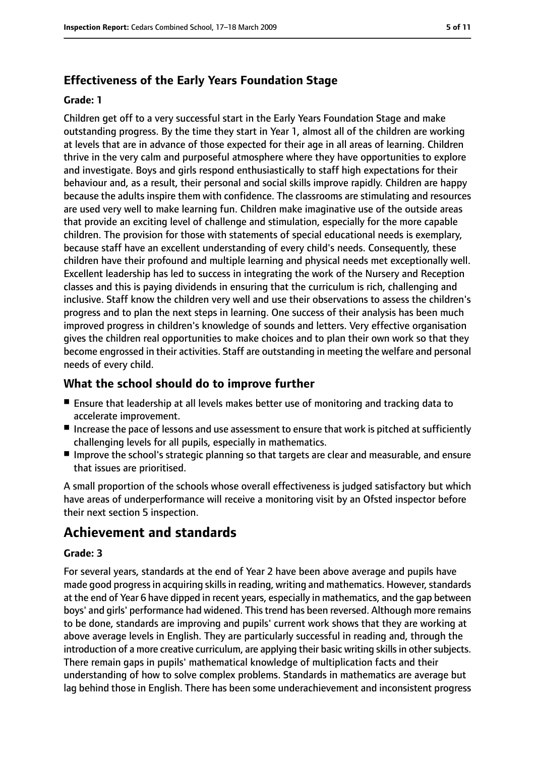## **Effectiveness of the Early Years Foundation Stage**

#### **Grade: 1**

Children get off to a very successful start in the Early Years Foundation Stage and make outstanding progress. By the time they start in Year 1, almost all of the children are working at levels that are in advance of those expected for their age in all areas of learning. Children thrive in the very calm and purposeful atmosphere where they have opportunities to explore and investigate. Boys and girls respond enthusiastically to staff high expectations for their behaviour and, as a result, their personal and social skills improve rapidly. Children are happy because the adults inspire them with confidence. The classrooms are stimulating and resources are used very well to make learning fun. Children make imaginative use of the outside areas that provide an exciting level of challenge and stimulation, especially for the more capable children. The provision for those with statements of special educational needs is exemplary, because staff have an excellent understanding of every child's needs. Consequently, these children have their profound and multiple learning and physical needs met exceptionally well. Excellent leadership has led to success in integrating the work of the Nursery and Reception classes and this is paying dividends in ensuring that the curriculum is rich, challenging and inclusive. Staff know the children very well and use their observations to assess the children's progress and to plan the next steps in learning. One success of their analysis has been much improved progress in children's knowledge of sounds and letters. Very effective organisation gives the children real opportunities to make choices and to plan their own work so that they become engrossed in their activities. Staff are outstanding in meeting the welfare and personal needs of every child.

## **What the school should do to improve further**

- Ensure that leadership at all levels makes better use of monitoring and tracking data to accelerate improvement.
- Increase the pace of lessons and use assessment to ensure that work is pitched at sufficiently challenging levels for all pupils, especially in mathematics.
- Improve the school's strategic planning so that targets are clear and measurable, and ensure that issues are prioritised.

A small proportion of the schools whose overall effectiveness is judged satisfactory but which have areas of underperformance will receive a monitoring visit by an Ofsted inspector before their next section 5 inspection.

# **Achievement and standards**

#### **Grade: 3**

For several years, standards at the end of Year 2 have been above average and pupils have made good progress in acquiring skills in reading, writing and mathematics. However, standards at the end of Year 6 have dipped in recent years, especially in mathematics, and the gap between boys' and girls' performance had widened. This trend has been reversed. Although more remains to be done, standards are improving and pupils' current work shows that they are working at above average levels in English. They are particularly successful in reading and, through the introduction of a more creative curriculum, are applying their basic writing skills in other subjects. There remain gaps in pupils' mathematical knowledge of multiplication facts and their understanding of how to solve complex problems. Standards in mathematics are average but lag behind those in English. There has been some underachievement and inconsistent progress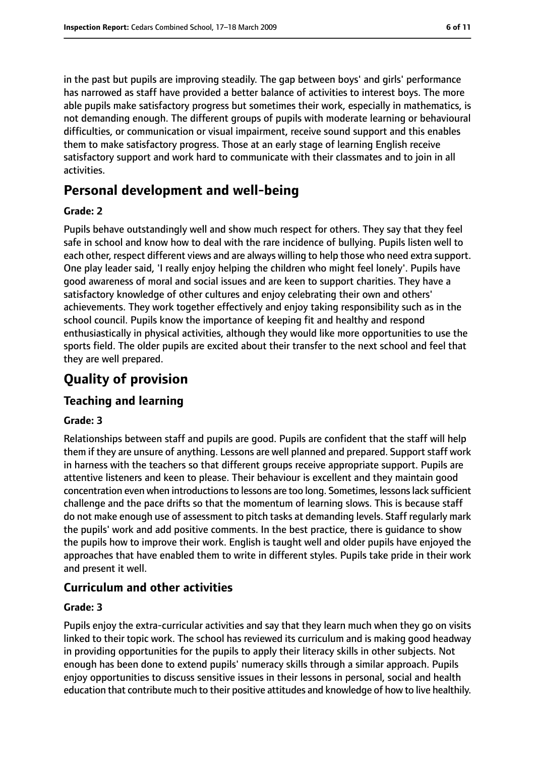in the past but pupils are improving steadily. The gap between boys' and girls' performance has narrowed as staff have provided a better balance of activities to interest boys. The more able pupils make satisfactory progress but sometimes their work, especially in mathematics, is not demanding enough. The different groups of pupils with moderate learning or behavioural difficulties, or communication or visual impairment, receive sound support and this enables them to make satisfactory progress. Those at an early stage of learning English receive satisfactory support and work hard to communicate with their classmates and to join in all activities.

# **Personal development and well-being**

#### **Grade: 2**

Pupils behave outstandingly well and show much respect for others. They say that they feel safe in school and know how to deal with the rare incidence of bullying. Pupils listen well to each other, respect different views and are always willing to help those who need extra support. One play leader said, 'I really enjoy helping the children who might feel lonely'. Pupils have good awareness of moral and social issues and are keen to support charities. They have a satisfactory knowledge of other cultures and enjoy celebrating their own and others' achievements. They work together effectively and enjoy taking responsibility such as in the school council. Pupils know the importance of keeping fit and healthy and respond enthusiastically in physical activities, although they would like more opportunities to use the sports field. The older pupils are excited about their transfer to the next school and feel that they are well prepared.

# **Quality of provision**

## **Teaching and learning**

#### **Grade: 3**

Relationships between staff and pupils are good. Pupils are confident that the staff will help them if they are unsure of anything. Lessons are well planned and prepared. Support staff work in harness with the teachers so that different groups receive appropriate support. Pupils are attentive listeners and keen to please. Their behaviour is excellent and they maintain good concentration even when introductions to lessons are too long. Sometimes, lessons lack sufficient challenge and the pace drifts so that the momentum of learning slows. This is because staff do not make enough use of assessment to pitch tasks at demanding levels. Staff regularly mark the pupils' work and add positive comments. In the best practice, there is guidance to show the pupils how to improve their work. English is taught well and older pupils have enjoyed the approaches that have enabled them to write in different styles. Pupils take pride in their work and present it well.

## **Curriculum and other activities**

#### **Grade: 3**

Pupils enjoy the extra-curricular activities and say that they learn much when they go on visits linked to their topic work. The school has reviewed its curriculum and is making good headway in providing opportunities for the pupils to apply their literacy skills in other subjects. Not enough has been done to extend pupils' numeracy skills through a similar approach. Pupils enjoy opportunities to discuss sensitive issues in their lessons in personal, social and health education that contribute much to their positive attitudes and knowledge of how to live healthily.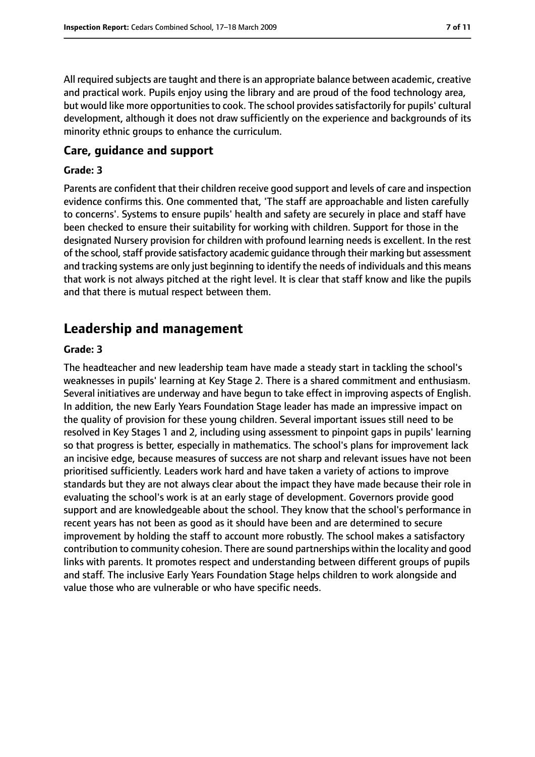All required subjects are taught and there is an appropriate balance between academic, creative and practical work. Pupils enjoy using the library and are proud of the food technology area, but would like more opportunities to cook. The school provides satisfactorily for pupils' cultural development, although it does not draw sufficiently on the experience and backgrounds of its minority ethnic groups to enhance the curriculum.

#### **Care, guidance and support**

#### **Grade: 3**

Parents are confident that their children receive good support and levels of care and inspection evidence confirms this. One commented that, 'The staff are approachable and listen carefully to concerns'. Systems to ensure pupils' health and safety are securely in place and staff have been checked to ensure their suitability for working with children. Support for those in the designated Nursery provision for children with profound learning needs is excellent. In the rest of the school, staff provide satisfactory academic quidance through their marking but assessment and tracking systems are only just beginning to identify the needs of individuals and this means that work is not always pitched at the right level. It is clear that staff know and like the pupils and that there is mutual respect between them.

# **Leadership and management**

#### **Grade: 3**

The headteacher and new leadership team have made a steady start in tackling the school's weaknesses in pupils' learning at Key Stage 2. There is a shared commitment and enthusiasm. Several initiatives are underway and have begun to take effect in improving aspects of English. In addition, the new Early Years Foundation Stage leader has made an impressive impact on the quality of provision for these young children. Several important issues still need to be resolved in Key Stages 1 and 2, including using assessment to pinpoint gaps in pupils' learning so that progress is better, especially in mathematics. The school's plans for improvement lack an incisive edge, because measures of success are not sharp and relevant issues have not been prioritised sufficiently. Leaders work hard and have taken a variety of actions to improve standards but they are not always clear about the impact they have made because their role in evaluating the school's work is at an early stage of development. Governors provide good support and are knowledgeable about the school. They know that the school's performance in recent years has not been as good as it should have been and are determined to secure improvement by holding the staff to account more robustly. The school makes a satisfactory contribution to community cohesion. There are sound partnerships within the locality and good links with parents. It promotes respect and understanding between different groups of pupils and staff. The inclusive Early Years Foundation Stage helps children to work alongside and value those who are vulnerable or who have specific needs.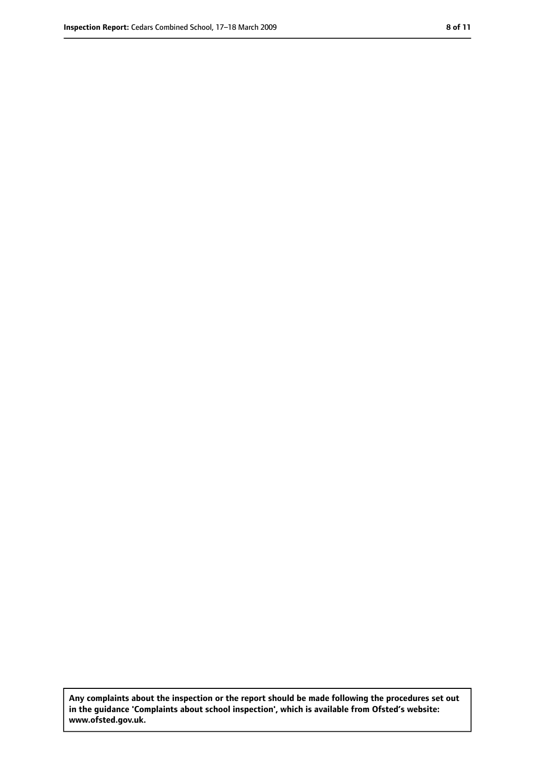**Any complaints about the inspection or the report should be made following the procedures set out in the guidance 'Complaints about school inspection', which is available from Ofsted's website: www.ofsted.gov.uk.**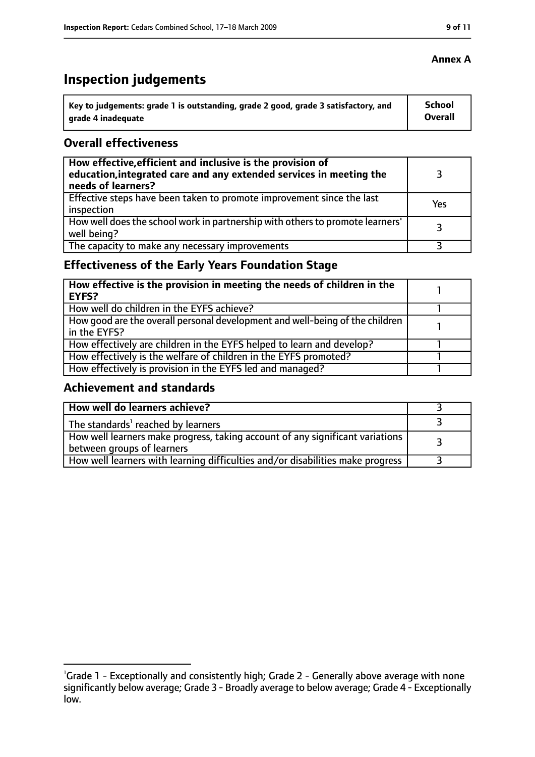# **Inspection judgements**

| key to judgements: grade 1 is outstanding, grade 2 good, grade 3 satisfactory, and ا | School         |
|--------------------------------------------------------------------------------------|----------------|
| arade 4 inadequate                                                                   | <b>Overall</b> |

#### **Overall effectiveness**

| How effective, efficient and inclusive is the provision of<br>education, integrated care and any extended services in meeting the<br>needs of learners? |     |
|---------------------------------------------------------------------------------------------------------------------------------------------------------|-----|
| Effective steps have been taken to promote improvement since the last<br>inspection                                                                     | Yes |
| How well does the school work in partnership with others to promote learners'<br>well being?                                                            | 3   |
| The capacity to make any necessary improvements                                                                                                         |     |

# **Effectiveness of the Early Years Foundation Stage**

| How effective is the provision in meeting the needs of children in the<br>l EYFS?            |  |
|----------------------------------------------------------------------------------------------|--|
| How well do children in the EYFS achieve?                                                    |  |
| How good are the overall personal development and well-being of the children<br>in the EYFS? |  |
| How effectively are children in the EYFS helped to learn and develop?                        |  |
| How effectively is the welfare of children in the EYFS promoted?                             |  |
| How effectively is provision in the EYFS led and managed?                                    |  |

#### **Achievement and standards**

| How well do learners achieve?                                                  |  |
|--------------------------------------------------------------------------------|--|
| $\vert$ The standards <sup>1</sup> reached by learners                         |  |
| How well learners make progress, taking account of any significant variations  |  |
| between groups of learners                                                     |  |
| How well learners with learning difficulties and/or disabilities make progress |  |

#### **Annex A**

<sup>&</sup>lt;sup>1</sup>Grade 1 - Exceptionally and consistently high; Grade 2 - Generally above average with none significantly below average; Grade 3 - Broadly average to below average; Grade 4 - Exceptionally low.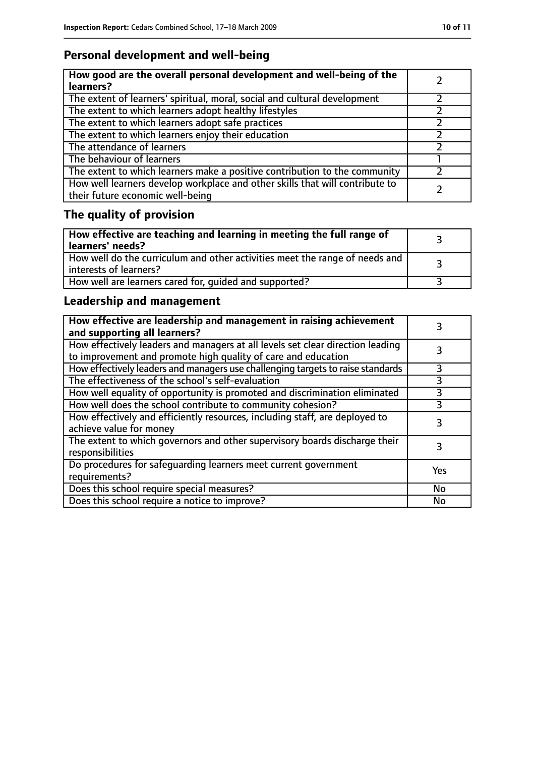# **Personal development and well-being**

| How good are the overall personal development and well-being of the<br>learners?                                 |  |
|------------------------------------------------------------------------------------------------------------------|--|
| The extent of learners' spiritual, moral, social and cultural development                                        |  |
| The extent to which learners adopt healthy lifestyles                                                            |  |
| The extent to which learners adopt safe practices                                                                |  |
| The extent to which learners enjoy their education                                                               |  |
| The attendance of learners                                                                                       |  |
| The behaviour of learners                                                                                        |  |
| The extent to which learners make a positive contribution to the community                                       |  |
| How well learners develop workplace and other skills that will contribute to<br>their future economic well-being |  |

# **The quality of provision**

| How effective are teaching and learning in meeting the full range of<br>learners' needs?              |  |
|-------------------------------------------------------------------------------------------------------|--|
| How well do the curriculum and other activities meet the range of needs and<br>interests of learners? |  |
| How well are learners cared for, quided and supported?                                                |  |

# **Leadership and management**

| How effective are leadership and management in raising achievement<br>and supporting all learners?                                              |           |
|-------------------------------------------------------------------------------------------------------------------------------------------------|-----------|
| How effectively leaders and managers at all levels set clear direction leading<br>to improvement and promote high quality of care and education |           |
| How effectively leaders and managers use challenging targets to raise standards                                                                 | 3         |
| The effectiveness of the school's self-evaluation                                                                                               | 3         |
| How well equality of opportunity is promoted and discrimination eliminated                                                                      | 3         |
| How well does the school contribute to community cohesion?                                                                                      | 3         |
| How effectively and efficiently resources, including staff, are deployed to<br>achieve value for money                                          | 3         |
| The extent to which governors and other supervisory boards discharge their<br>responsibilities                                                  |           |
| Do procedures for safequarding learners meet current government<br>requirements?                                                                | Yes       |
| Does this school require special measures?                                                                                                      | <b>No</b> |
| Does this school require a notice to improve?                                                                                                   | No        |